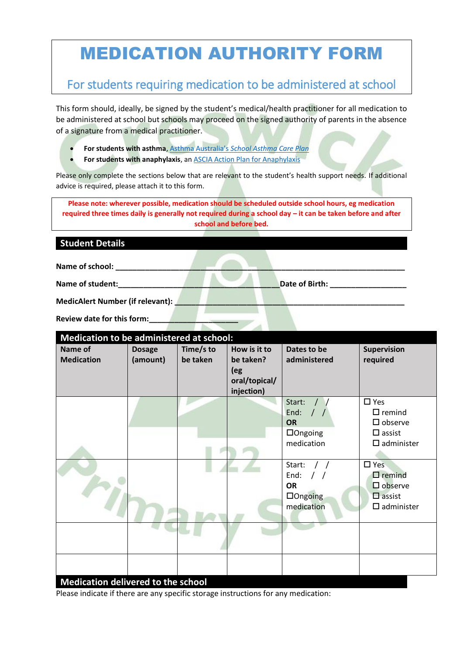# MEDICATION AUTHORITY FORM

# For students requiring medication to be administered at school

This form should, ideally, be signed by the student's medical/health practitioner for all medication to be administered at school but schools may proceed on the signed authority of parents in the absence of a signature from a medical practitioner.

- **For students with asthma**, Asthma Australia's *[School Asthma Care Plan](https://www.asthmaaustralia.org.au/vic/about-asthma/resources)*
- **For students with anaphylaxis**, an [ASCIA Action Plan for Anaphylaxis](https://allergy.org.au/health-professionals/ascia-plans-action-and-treatment)

Please only complete the sections below that are relevant to the student's health support needs. If additional advice is required, please attach it to this form.

**Please note: wherever possible, medication should be scheduled outside school hours, eg medication required three times daily is generally not required during a school day – it can be taken before and after school and before bed.**

## **Student Details**

**Name of school: \_\_\_\_\_\_\_\_\_\_\_\_\_\_\_\_\_\_\_\_\_\_\_\_\_\_\_\_\_\_\_\_\_\_\_\_\_\_\_\_\_\_\_\_\_\_\_\_\_\_\_\_\_\_\_\_\_\_\_\_\_\_\_\_\_\_\_\_**

**Name of student:\_\_\_\_\_\_\_\_\_\_\_\_\_\_\_\_\_\_\_\_\_\_\_\_\_\_\_\_\_\_\_\_\_\_\_\_\_\_Date of Birth: \_\_\_\_\_\_\_\_\_\_\_\_\_\_\_\_\_\_**

| <b>Review date for this form:</b> |  |  |
|-----------------------------------|--|--|
|                                   |  |  |

# **Medication to be administered at school:**

| <u>ivieuration to be administered at scribbi.</u><br>Name of<br><b>Medication</b> | <b>Dosage</b><br>(amount) | Time/s to<br>be taken | How is it to<br>be taken?<br>(eg<br>oral/topical/<br>injection) | Dates to be<br>administered                                                                   | Supervision<br>required                                                                   |
|-----------------------------------------------------------------------------------|---------------------------|-----------------------|-----------------------------------------------------------------|-----------------------------------------------------------------------------------------------|-------------------------------------------------------------------------------------------|
|                                                                                   |                           |                       |                                                                 | Start:<br>End:<br>$\frac{1}{2}$<br><b>OR</b><br>$\Box$ Ongoing<br>medication                  | $\square$ Yes<br>$\Box$ remind<br>$\Box$ observe<br>$\Box$ assist<br>$\square$ administer |
|                                                                                   |                           |                       |                                                                 | Start:<br>$\frac{1}{2}$<br>End:<br>$\frac{1}{2}$<br><b>OR</b><br>$\Box$ Ongoing<br>medication | $\square$ Yes<br>$\Box$ remind<br>$\Box$ observe<br>$\Box$ assist<br>$\square$ administer |
| Medication delivered to the school                                                |                           |                       |                                                                 |                                                                                               |                                                                                           |

Please indicate if there are any specific storage instructions for any medication: